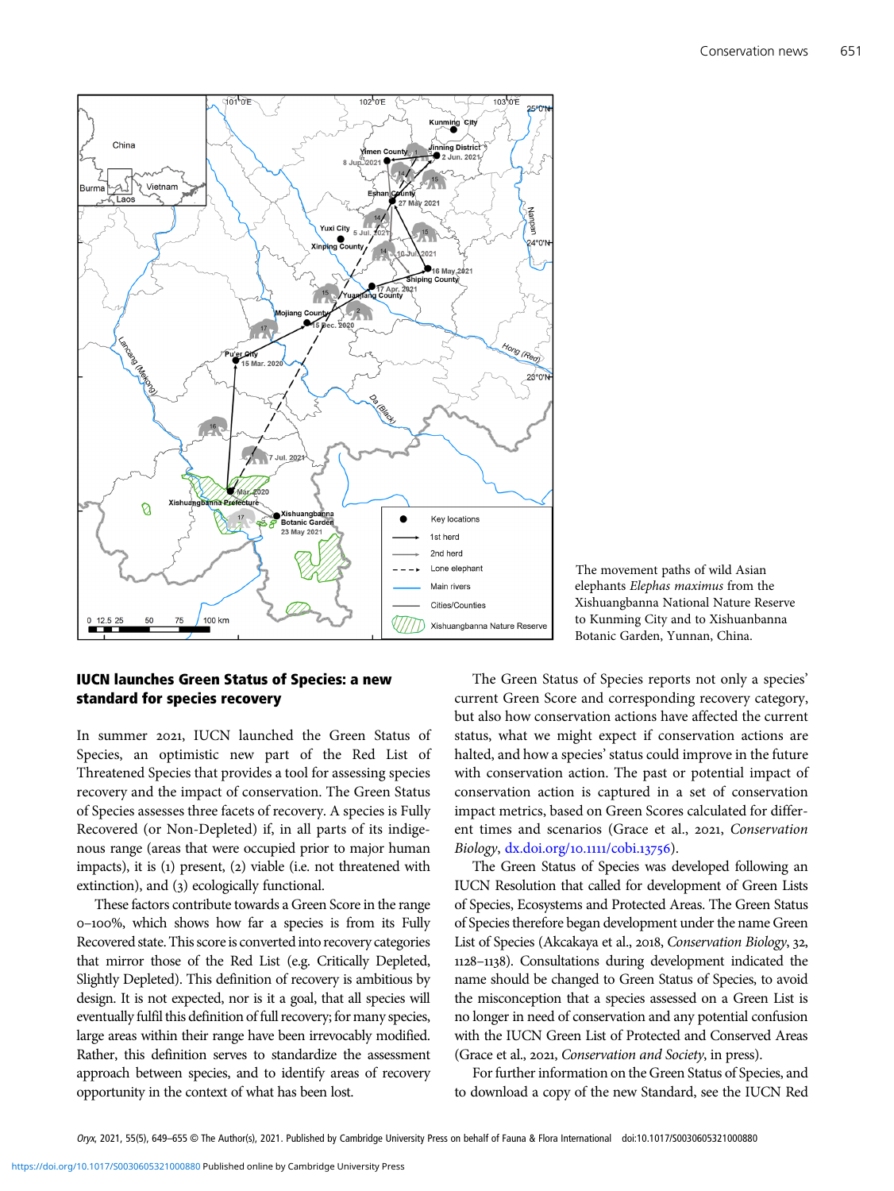

## elephants Elephas maximus from the Xishuangbanna National Nature Reserve to Kunming City and to Xishuanbanna Botanic Garden, Yunnan, China.

The movement paths of wild Asian

## IUCN launches Green Status of Species: a new standard for species recovery

In summer 2021, IUCN launched the Green Status of Species, an optimistic new part of the Red List of Threatened Species that provides a tool for assessing species recovery and the impact of conservation. The Green Status of Species assesses three facets of recovery. A species is Fully Recovered (or Non-Depleted) if, in all parts of its indigenous range (areas that were occupied prior to major human impacts), it is  $(i)$  present,  $(2)$  viable (i.e. not threatened with extinction), and (3) ecologically functional.

These factors contribute towards a Green Score in the range –%, which shows how far a species is from its Fully Recovered state. This score is converted into recovery categories that mirror those of the Red List (e.g. Critically Depleted, Slightly Depleted). This definition of recovery is ambitious by design. It is not expected, nor is it a goal, that all species will eventually fulfil this definition of full recovery; for many species, large areas within their range have been irrevocably modified. Rather, this definition serves to standardize the assessment approach between species, and to identify areas of recovery opportunity in the context of what has been lost.

The Green Status of Species reports not only a species' current Green Score and corresponding recovery category, but also how conservation actions have affected the current status, what we might expect if conservation actions are halted, and how a species' status could improve in the future with conservation action. The past or potential impact of conservation action is captured in a set of conservation impact metrics, based on Green Scores calculated for different times and scenarios (Grace et al., 2021, Conservation Biology, [dx.doi.org/](https://dx.doi.org/10.1111/cobi.13756)10.1111/cobi.13756).

The Green Status of Species was developed following an IUCN Resolution that called for development of Green Lists of Species, Ecosystems and Protected Areas. The Green Status of Species therefore began development under the name Green List of Species (Akcakaya et al., 2018, Conservation Biology, 32, –). Consultations during development indicated the name should be changed to Green Status of Species, to avoid the misconception that a species assessed on a Green List is no longer in need of conservation and any potential confusion with the IUCN Green List of Protected and Conserved Areas (Grace et al., 2021, Conservation and Society, in press).

For further information on the Green Status of Species, and to download a copy of the new Standard, see the IUCN Red